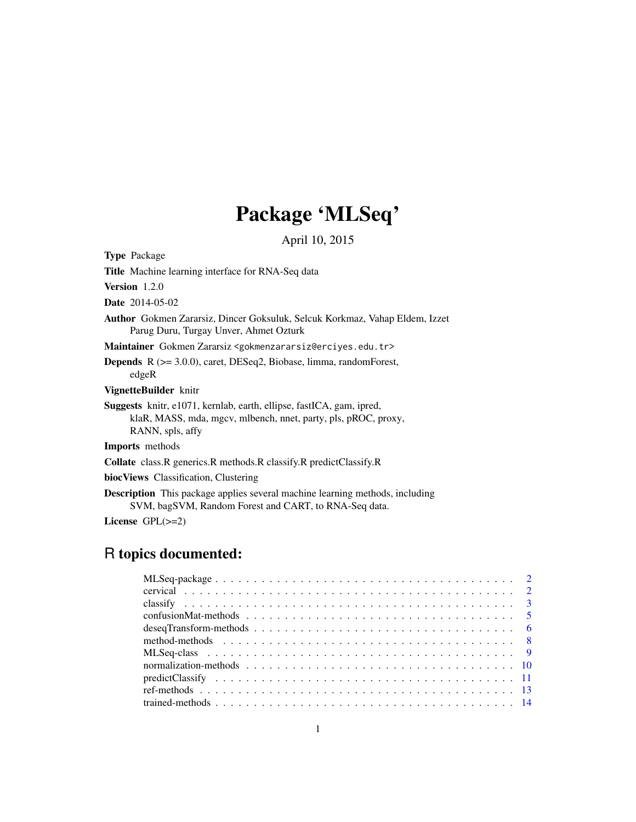# Package 'MLSeq'

April 10, 2015

Type Package

Title Machine learning interface for RNA-Seq data

Version 1.2.0

Date 2014-05-02

Author Gokmen Zararsiz, Dincer Goksuluk, Selcuk Korkmaz, Vahap Eldem, Izzet Parug Duru, Turgay Unver, Ahmet Ozturk

Maintainer Gokmen Zararsiz <gokmenzararsiz@erciyes.edu.tr>

Depends R (>= 3.0.0), caret, DESeq2, Biobase, limma, randomForest, edgeR

VignetteBuilder knitr

Suggests knitr, e1071, kernlab, earth, ellipse, fastICA, gam, ipred, klaR, MASS, mda, mgcv, mlbench, nnet, party, pls, pROC, proxy, RANN, spls, affy

Imports methods

Collate class.R generics.R methods.R classify.R predictClassify.R

biocViews Classification, Clustering

Description This package applies several machine learning methods, including SVM, bagSVM, Random Forest and CART, to RNA-Seq data.

License GPL(>=2)

## R topics documented: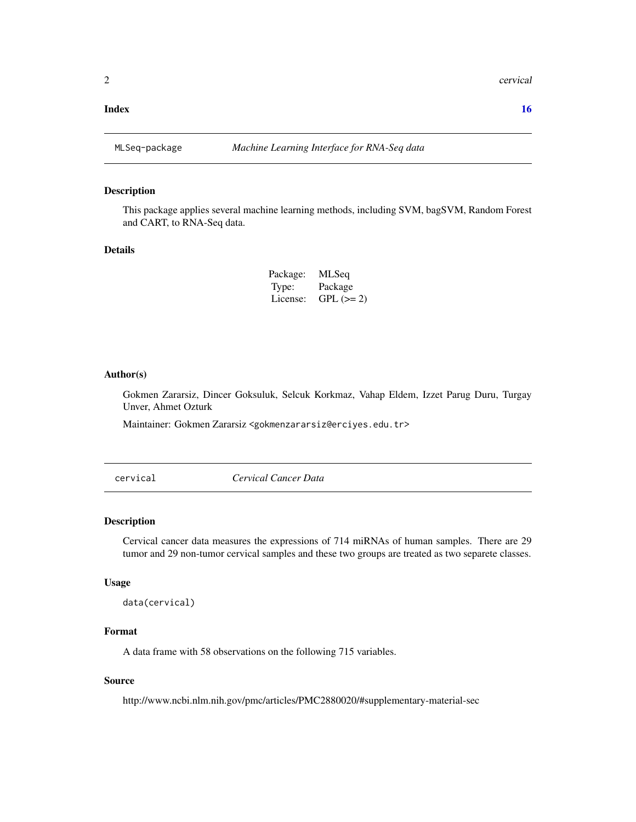#### <span id="page-1-0"></span>**Index** the contract of the contract of the contract of the contract of the contract of the contract of the contract of the contract of the contract of the contract of the contract of the contract of the contract of the co

#### Description

This package applies several machine learning methods, including SVM, bagSVM, Random Forest and CART, to RNA-Seq data.

#### Details

| Package: | MLSeq      |
|----------|------------|
| Type:    | Package    |
| License: | $GPL (=2)$ |

#### Author(s)

Gokmen Zararsiz, Dincer Goksuluk, Selcuk Korkmaz, Vahap Eldem, Izzet Parug Duru, Turgay Unver, Ahmet Ozturk

Maintainer: Gokmen Zararsiz <gokmenzararsiz@erciyes.edu.tr>

cervical *Cervical Cancer Data*

#### Description

Cervical cancer data measures the expressions of 714 miRNAs of human samples. There are 29 tumor and 29 non-tumor cervical samples and these two groups are treated as two separete classes.

#### Usage

```
data(cervical)
```
#### Format

A data frame with 58 observations on the following 715 variables.

#### Source

http://www.ncbi.nlm.nih.gov/pmc/articles/PMC2880020/#supplementary-material-sec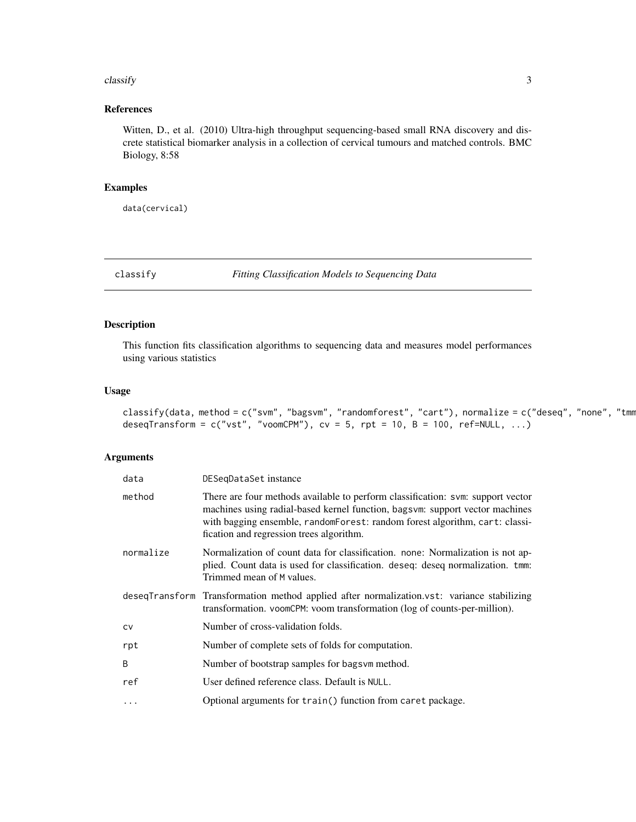#### <span id="page-2-0"></span> $\alpha$  classify  $\beta$

#### References

Witten, D., et al. (2010) Ultra-high throughput sequencing-based small RNA discovery and discrete statistical biomarker analysis in a collection of cervical tumours and matched controls. BMC Biology, 8:58

### Examples

data(cervical)

<span id="page-2-1"></span>classify *Fitting Classification Models to Sequencing Data*

### Description

This function fits classification algorithms to sequencing data and measures model performances using various statistics

#### Usage

classify(data, method = c("svm", "bagsvm", "randomforest", "cart"), normalize = c("deseq", "none", "tmm deseqTransform =  $c("vst", "voomCPM"), cv = 5, rpt = 10, B = 100, ref=NULL, ...)$ 

#### Arguments

| data       | DESegDataSet instance                                                                                                                                                                                                                                                                       |
|------------|---------------------------------------------------------------------------------------------------------------------------------------------------------------------------------------------------------------------------------------------------------------------------------------------|
| method     | There are four methods available to perform classification: svm: support vector<br>machines using radial-based kernel function, bagsvm: support vector machines<br>with bagging ensemble, random Forest: random forest algorithm, cart: classi-<br>fication and regression trees algorithm. |
| normalize  | Normalization of count data for classification. none: Normalization is not ap-<br>plied. Count data is used for classification. deseq: deseq normalization. tmm:<br>Trimmed mean of M values.                                                                                               |
|            | deseqTransform Transformation method applied after normalization.vst: variance stabilizing<br>transformation. voomCPM: voom transformation (log of counts-per-million).                                                                                                                     |
| <b>CV</b>  | Number of cross-validation folds.                                                                                                                                                                                                                                                           |
| rpt        | Number of complete sets of folds for computation.                                                                                                                                                                                                                                           |
| B          | Number of bootstrap samples for bagsvm method.                                                                                                                                                                                                                                              |
| ref        | User defined reference class. Default is NULL.                                                                                                                                                                                                                                              |
| $\ddots$ . | Optional arguments for train() function from caret package.                                                                                                                                                                                                                                 |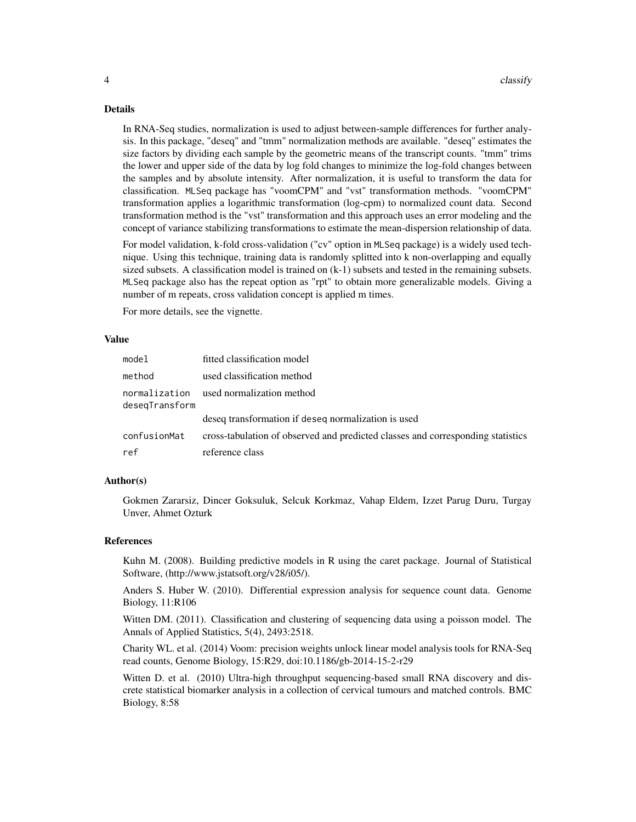#### Details

In RNA-Seq studies, normalization is used to adjust between-sample differences for further analysis. In this package, "deseq" and "tmm" normalization methods are available. "deseq" estimates the size factors by dividing each sample by the geometric means of the transcript counts. "tmm" trims the lower and upper side of the data by log fold changes to minimize the log-fold changes between the samples and by absolute intensity. After normalization, it is useful to transform the data for classification. MLSeq package has "voomCPM" and "vst" transformation methods. "voomCPM" transformation applies a logarithmic transformation (log-cpm) to normalized count data. Second transformation method is the "vst" transformation and this approach uses an error modeling and the concept of variance stabilizing transformations to estimate the mean-dispersion relationship of data.

For model validation, k-fold cross-validation ("cv" option in MLSeq package) is a widely used technique. Using this technique, training data is randomly splitted into k non-overlapping and equally sized subsets. A classification model is trained on (k-1) subsets and tested in the remaining subsets. MLSeq package also has the repeat option as "rpt" to obtain more generalizable models. Giving a number of m repeats, cross validation concept is applied m times.

For more details, see the vignette.

#### Value

| model          | fitted classification model                                                     |
|----------------|---------------------------------------------------------------------------------|
| method         | used classification method                                                      |
| deseqTransform | normalization used normalization method                                         |
|                | deseq transformation if deseq normalization is used                             |
| confusionMat   | cross-tabulation of observed and predicted classes and corresponding statistics |
| ref            | reference class                                                                 |

#### Author(s)

Gokmen Zararsiz, Dincer Goksuluk, Selcuk Korkmaz, Vahap Eldem, Izzet Parug Duru, Turgay Unver, Ahmet Ozturk

#### References

Kuhn M. (2008). Building predictive models in R using the caret package. Journal of Statistical Software, (http://www.jstatsoft.org/v28/i05/).

Anders S. Huber W. (2010). Differential expression analysis for sequence count data. Genome Biology, 11:R106

Witten DM. (2011). Classification and clustering of sequencing data using a poisson model. The Annals of Applied Statistics, 5(4), 2493:2518.

Charity WL. et al. (2014) Voom: precision weights unlock linear model analysis tools for RNA-Seq read counts, Genome Biology, 15:R29, doi:10.1186/gb-2014-15-2-r29

Witten D. et al. (2010) Ultra-high throughput sequencing-based small RNA discovery and discrete statistical biomarker analysis in a collection of cervical tumours and matched controls. BMC Biology, 8:58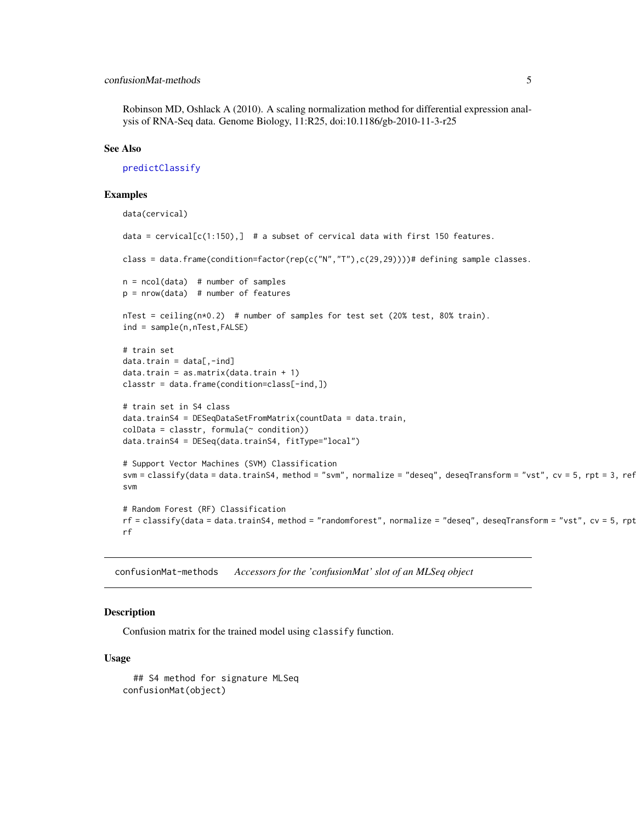#### <span id="page-4-0"></span>confusionMat-methods 5

Robinson MD, Oshlack A (2010). A scaling normalization method for differential expression analysis of RNA-Seq data. Genome Biology, 11:R25, doi:10.1186/gb-2010-11-3-r25

#### See Also

[predictClassify](#page-10-1)

#### Examples

```
data(cervical)
data = cervical[c(1:150),] # a subset of cervical data with first 150 features.
class = data.frame(condition=factor(rep(c("N","T"),c(29,29))))# defining sample classes.
n = \text{ncol}(data) # number of samples
p = nrow(data) # number of features
nTest = ceiling(n*0.2) # number of samples for test set (20% test, 80% train).
ind = sample(n,nTest,FALSE)
# train set
data.train = data[, -ind]data.train = as.matrix(data.train + 1)
classtr = data.frame(condition=class[-ind,])
# train set in S4 class
data.trainS4 = DESeqDataSetFromMatrix(countData = data.train,
\text{colData} = \text{cluster}, \text{formula}(\sim \text{condition})data.trainS4 = DESeq(data.trainS4, fitType="local")
# Support Vector Machines (SVM) Classification
svm = classify(data = data.trainS4, method = "svm", normalize = "deseq", deseqTransform = "vst", cv = 5, rpt = 3, ref
svm
# Random Forest (RF) Classification
rf = classify(data = data.trainS4, method = "randomforest", normalize = "deseq", deseqTransform = "vst", cv = 5, rptrf
```
confusionMat-methods *Accessors for the 'confusionMat' slot of an MLSeq object*

#### Description

Confusion matrix for the trained model using classify function.

#### Usage

## S4 method for signature MLSeq confusionMat(object)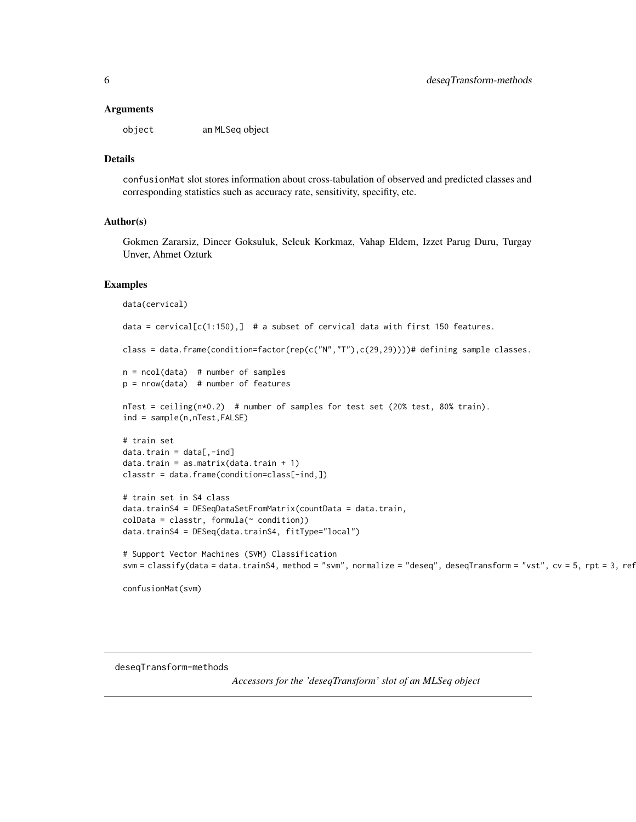#### <span id="page-5-0"></span>**Arguments**

object an MLSeq object

### Details

confusionMat slot stores information about cross-tabulation of observed and predicted classes and corresponding statistics such as accuracy rate, sensitivity, specifity, etc.

#### Author(s)

Gokmen Zararsiz, Dincer Goksuluk, Selcuk Korkmaz, Vahap Eldem, Izzet Parug Duru, Turgay Unver, Ahmet Ozturk

#### Examples

```
data(cervical)
data = cervical[c(1:150),] # a subset of cervical data with first 150 features.
class = data.frame(condition=factor(rep(c("N","T"),c(29,29))))# defining sample classes.
n = \text{ncol}(data) # number of samples
p = nrow(data) # number of features
nTest = ceiling(n*0.2) # number of samples for test set (20% test, 80% train).
ind = sample(n,nTest,FALSE)
# train set
data.train = data[, -ind]data.train = as.matrix(data.train + 1)
classtr = data.frame(condition=class[-ind,])
# train set in S4 class
data.trainS4 = DESeqDataSetFromMatrix(countData = data.train,
collData = classtr, formula(^{\sim} condition))data.trainS4 = DESeq(data.trainS4, fitType="local")
# Support Vector Machines (SVM) Classification
svm = classify(data = data.trainS4, method = "svm", normalize = "deseq", deseqTransform = "vst", cv = 5, rpt = 3, ref
```
confusionMat(svm)

deseqTransform-methods

*Accessors for the 'deseqTransform' slot of an MLSeq object*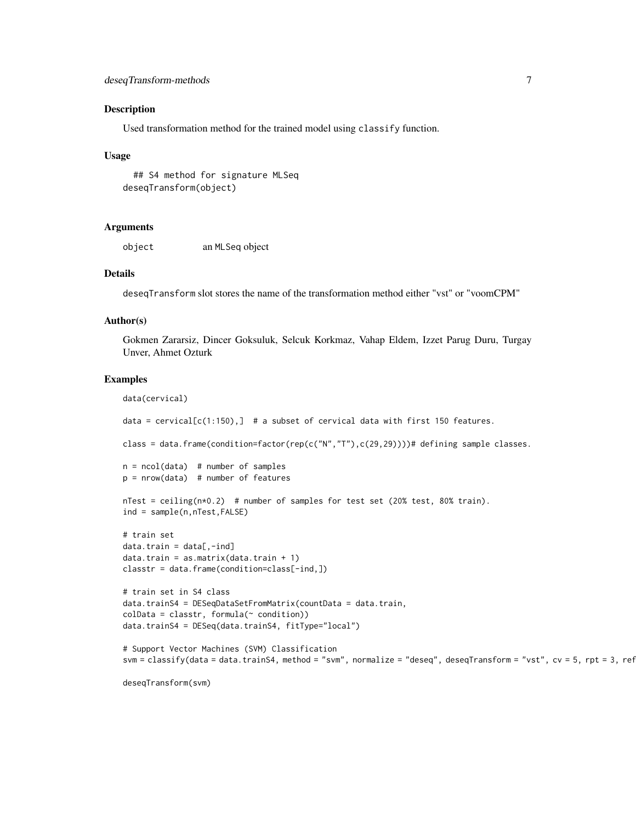#### Description

Used transformation method for the trained model using classify function.

#### Usage

## S4 method for signature MLSeq deseqTransform(object)

#### Arguments

object an MLSeq object

#### Details

deseqTransform slot stores the name of the transformation method either "vst" or "voomCPM"

#### Author(s)

Gokmen Zararsiz, Dincer Goksuluk, Selcuk Korkmaz, Vahap Eldem, Izzet Parug Duru, Turgay Unver, Ahmet Ozturk

#### Examples

```
data(cervical)
data = cervical[c(1:150),] # a subset of cervical data with first 150 features.
class = data.frame(condition=factor(rep(c("N","T"),c(29,29))))# defining sample classes.
n = ncol(data) # number of samples
p = nrow(data) # number of features
nTest = ceiling(n*0.2) # number of samples for test set (20% test, 80% train).
ind = sample(n,nTest,FALSE)
# train set
data.train = data[, -ind]data.train = as.matrix(data.train + 1)
classtr = data.frame(condition=class[-ind,])
# train set in S4 class
data.trainS4 = DESeqDataSetFromMatrix(countData = data.train,
colData = classtr, formula(~ condition))
data.trainS4 = DESeq(data.trainS4, fitType="local")
# Support Vector Machines (SVM) Classification
svm = classify(data = data.trainS4, method = "svm", normalize = "deseq", deseqTransform = "vst", cv = 5, rpt = 3, ref
```
deseqTransform(svm)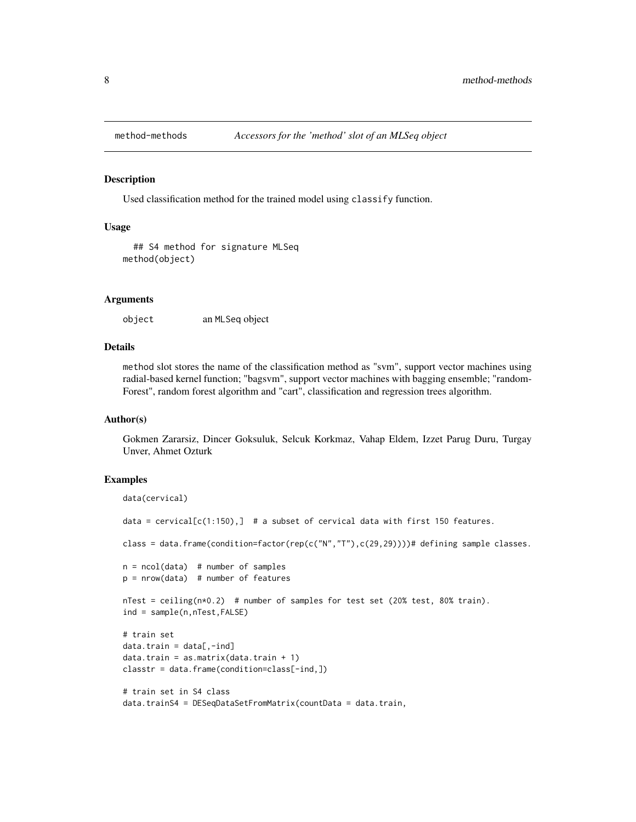<span id="page-7-0"></span>

#### **Description**

Used classification method for the trained model using classify function.

#### Usage

```
## S4 method for signature MLSeq
method(object)
```
#### Arguments

object an MLSeq object

#### Details

method slot stores the name of the classification method as "svm", support vector machines using radial-based kernel function; "bagsvm", support vector machines with bagging ensemble; "random-Forest", random forest algorithm and "cart", classification and regression trees algorithm.

#### Author(s)

Gokmen Zararsiz, Dincer Goksuluk, Selcuk Korkmaz, Vahap Eldem, Izzet Parug Duru, Turgay Unver, Ahmet Ozturk

#### Examples

```
data(cervical)
data = cervical[c(1:150),] # a subset of cervical data with first 150 features.
class = data.frame(condition=factor(rep(c("N","T"),c(29,29))))# defining sample classes.
n = \text{ncol}(data) # number of samples
p = nrow(data) # number of features
nTest = ceiling(n*0.2) # number of samples for test set (20% test, 80% train).
ind = sample(n,nTest,FALSE)
# train set
data.train = data[, -ind]data.train = as.matrix(data.train + 1)
classtr = data.frame(condition=class[-ind,])
# train set in S4 class
data.trainS4 = DESeqDataSetFromMatrix(countData = data.train,
```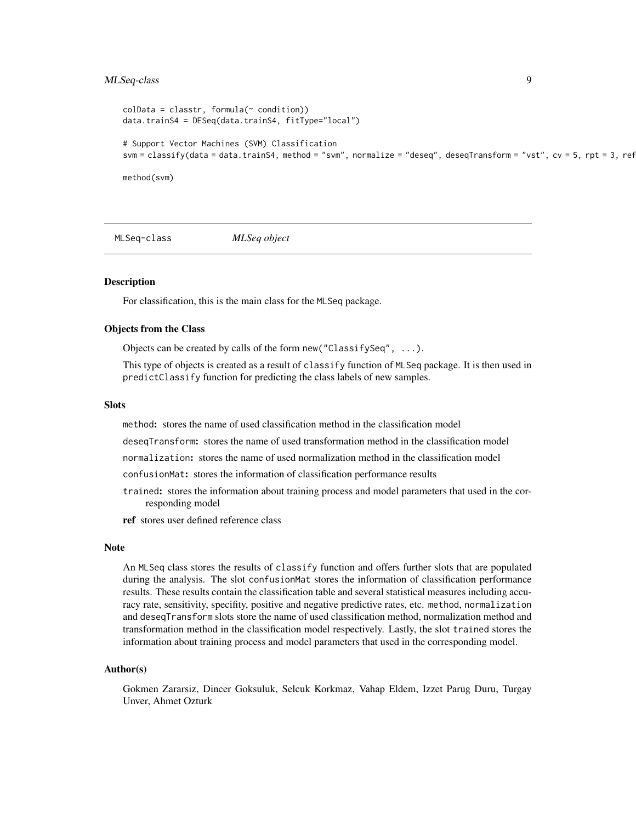#### <span id="page-8-0"></span>MLSeq-class 9

```
\text{colData} = \text{cluster}, \text{formula}(\sim \text{condition})data.trainS4 = DESeq(data.trainS4, fitType="local")
# Support Vector Machines (SVM) Classification
svm = classify(data = data.trainS4, method = "svm", normalize = "deseq", deseqTransform = "vst", cv = 5, rpt = 3, ref
method(svm)
```
MLSeq-class *MLSeq object*

#### **Description**

For classification, this is the main class for the MLSeq package.

#### Objects from the Class

Objects can be created by calls of the form new ("ClassifySeq",  $\dots$ ).

This type of objects is created as a result of classify function of MLSeq package. It is then used in predictClassify function for predicting the class labels of new samples.

#### Slots

method: stores the name of used classification method in the classification model

deseqTransform: stores the name of used transformation method in the classification model

normalization: stores the name of used normalization method in the classification model

- confusionMat: stores the information of classification performance results
- trained: stores the information about training process and model parameters that used in the corresponding model
- ref stores user defined reference class

#### Note

An MLSeq class stores the results of classify function and offers further slots that are populated during the analysis. The slot confusionMat stores the information of classification performance results. These results contain the classification table and several statistical measures including accuracy rate, sensitivity, specifity, positive and negative predictive rates, etc. method, normalization and deseqTransform slots store the name of used classification method, normalization method and transformation method in the classification model respectively. Lastly, the slot trained stores the information about training process and model parameters that used in the corresponding model.

#### Author(s)

Gokmen Zararsiz, Dincer Goksuluk, Selcuk Korkmaz, Vahap Eldem, Izzet Parug Duru, Turgay Unver, Ahmet Ozturk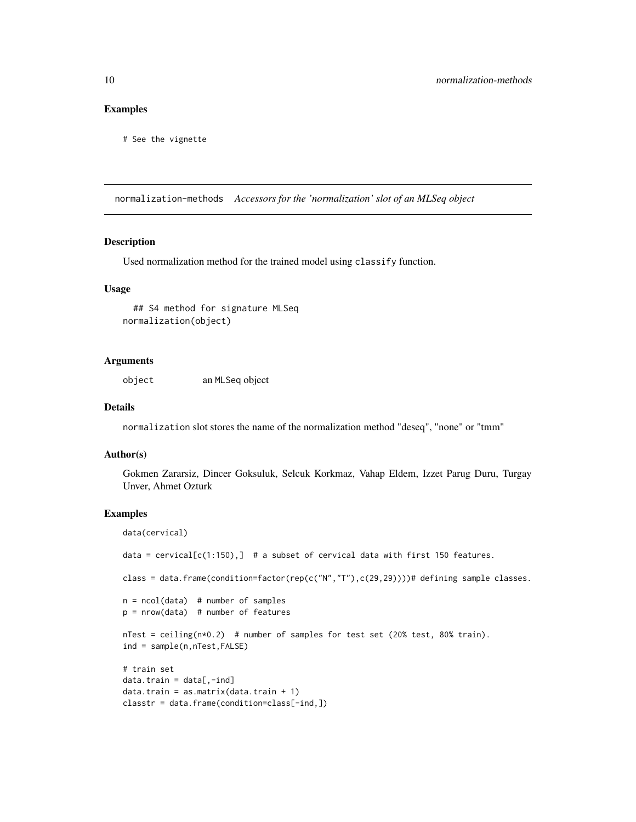#### <span id="page-9-0"></span>Examples

# See the vignette

normalization-methods *Accessors for the 'normalization' slot of an MLSeq object*

#### Description

Used normalization method for the trained model using classify function.

#### Usage

```
## S4 method for signature MLSeq
normalization(object)
```
#### Arguments

object an MLSeq object

#### Details

normalization slot stores the name of the normalization method "deseq", "none" or "tmm"

#### Author(s)

Gokmen Zararsiz, Dincer Goksuluk, Selcuk Korkmaz, Vahap Eldem, Izzet Parug Duru, Turgay Unver, Ahmet Ozturk

#### Examples

data(cervical)

```
data = cervical[c(1:150),] # a subset of cervical data with first 150 features.
class = data.frame(condition=factor(rep(c("N","T"),c(29,29))))# defining sample classes.
n = ncol(data) # number of samples
p = nrow(data) # number of features
nTest = ceiling(n*0.2) # number of samples for test set (20% test, 80% train).
ind = sample(n,nTest,FALSE)
# train set
data.train = data[, -ind]data.train = as.matrix(data.train + 1)
classtr = data.frame(condition=class[-ind,])
```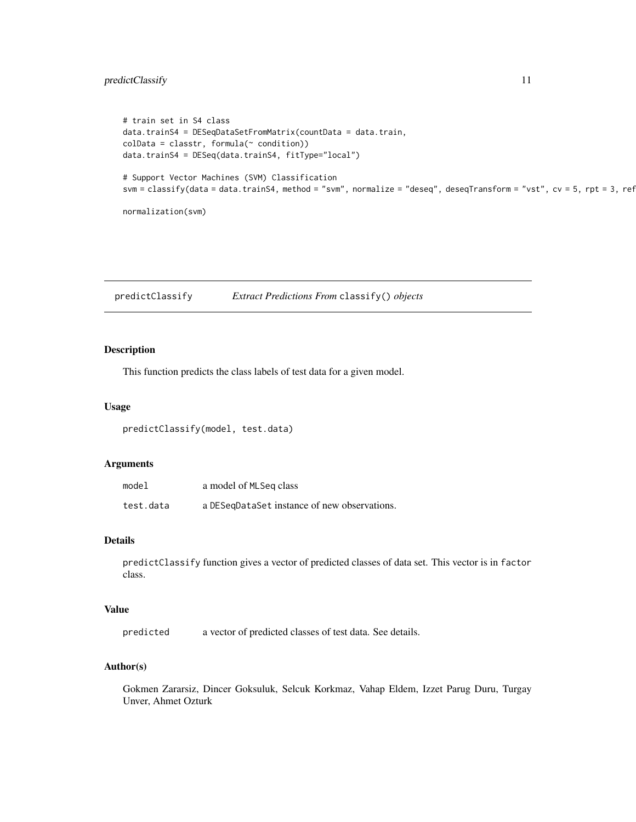### <span id="page-10-0"></span>predictClassify 11

```
# train set in S4 class
data.trainS4 = DESeqDataSetFromMatrix(countData = data.train,
collData = classtr, formula(~ condition))data.trainS4 = DESeq(data.trainS4, fitType="local")
# Support Vector Machines (SVM) Classification
svm = classify(data = data.trainS4, method = "svm", normalize = "deseq", deseqTransform = "vst", cv = 5, rpt = 3, ref
normalization(svm)
```
<span id="page-10-1"></span>predictClassify *Extract Predictions From* classify() *objects*

#### Description

This function predicts the class labels of test data for a given model.

#### Usage

predictClassify(model, test.data)

#### Arguments

| model     | a model of MLSeq class                       |
|-----------|----------------------------------------------|
| test.data | a DESeqDataSet instance of new observations. |

#### Details

predictClassify function gives a vector of predicted classes of data set. This vector is in factor class.

### Value

predicted a vector of predicted classes of test data. See details.

### Author(s)

Gokmen Zararsiz, Dincer Goksuluk, Selcuk Korkmaz, Vahap Eldem, Izzet Parug Duru, Turgay Unver, Ahmet Ozturk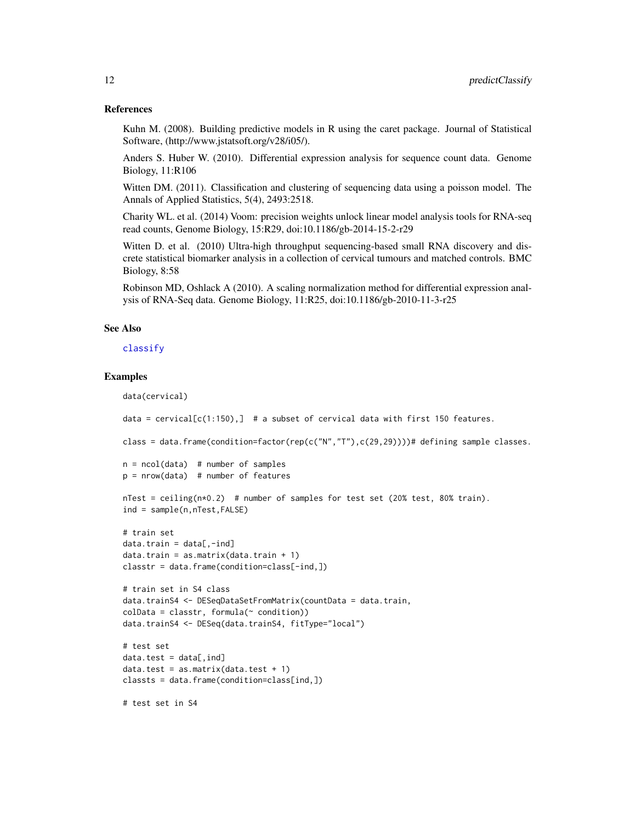#### References

Kuhn M. (2008). Building predictive models in R using the caret package. Journal of Statistical Software, (http://www.jstatsoft.org/v28/i05/).

Anders S. Huber W. (2010). Differential expression analysis for sequence count data. Genome Biology, 11:R106

Witten DM. (2011). Classification and clustering of sequencing data using a poisson model. The Annals of Applied Statistics, 5(4), 2493:2518.

Charity WL. et al. (2014) Voom: precision weights unlock linear model analysis tools for RNA-seq read counts, Genome Biology, 15:R29, doi:10.1186/gb-2014-15-2-r29

Witten D. et al. (2010) Ultra-high throughput sequencing-based small RNA discovery and discrete statistical biomarker analysis in a collection of cervical tumours and matched controls. BMC Biology, 8:58

Robinson MD, Oshlack A (2010). A scaling normalization method for differential expression analysis of RNA-Seq data. Genome Biology, 11:R25, doi:10.1186/gb-2010-11-3-r25

#### See Also

[classify](#page-2-1)

#### Examples

```
data(cervical)
```
data = cervical $[c(1:150),]$  # a subset of cervical data with first 150 features.

class = data.frame(condition=factor(rep(c("N","T"),c(29,29))))# defining sample classes.

```
n = ncol(data) # number of samples
p = nrow(data) # number of features
```
 $nTest = ceiling(n*0.2)$  # number of samples for test set (20% test, 80% train). ind = sample(n,nTest,FALSE)

```
# train set
data.train = data[, -ind]data.train = as.matrix(data.train + 1)
classtr = data.frame(condition=class[-ind,])
```

```
# train set in S4 class
data.trainS4 <- DESeqDataSetFromMatrix(countData = data.train,
colData = classtr, formula(~ condition))
data.trainS4 <- DESeq(data.trainS4, fitType="local")
```

```
# test set
data.test = data[,ind]data.test = as.matrix(data.test + 1)classts = data.frame(condition=class[ind,])
```
# test set in S4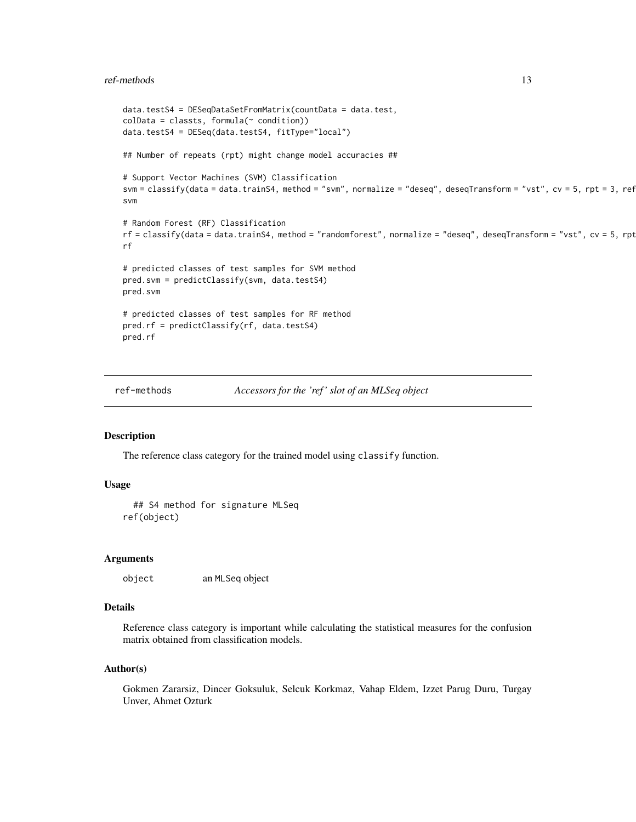#### <span id="page-12-0"></span>ref-methods and the state of the state of the state of the state of the state of the state of the state of the state of the state of the state of the state of the state of the state of the state of the state of the state o

```
data.testS4 = DESeqDataSetFromMatrix(countData = data.test,
colData = classts, formula(~ condition))
data.testS4 = DESeq(data.testS4, fitType="local")
## Number of repeats (rpt) might change model accuracies ##
# Support Vector Machines (SVM) Classification
svm = classify(data = data.trainS4, method = "svm", normalize = "deseq", deseqTransform = "vst", cv = 5, rpt = 3, ref
svm
# Random Forest (RF) Classification
rf = classify(data = data.trainS4, method = "randomforest", normalize = "deseq", deseqTransform = "vst", cv = 5, rptrf
# predicted classes of test samples for SVM method
pred.svm = predictClassify(svm, data.testS4)
pred.svm
# predicted classes of test samples for RF method
pred.rf = predictClassify(rf, data.testS4)
pred.rf
```
ref-methods *Accessors for the 'ref ' slot of an MLSeq object*

#### Description

The reference class category for the trained model using classify function.

#### Usage

```
## S4 method for signature MLSeq
ref(object)
```
#### Arguments

object an MLSeq object

#### Details

Reference class category is important while calculating the statistical measures for the confusion matrix obtained from classification models.

#### Author(s)

Gokmen Zararsiz, Dincer Goksuluk, Selcuk Korkmaz, Vahap Eldem, Izzet Parug Duru, Turgay Unver, Ahmet Ozturk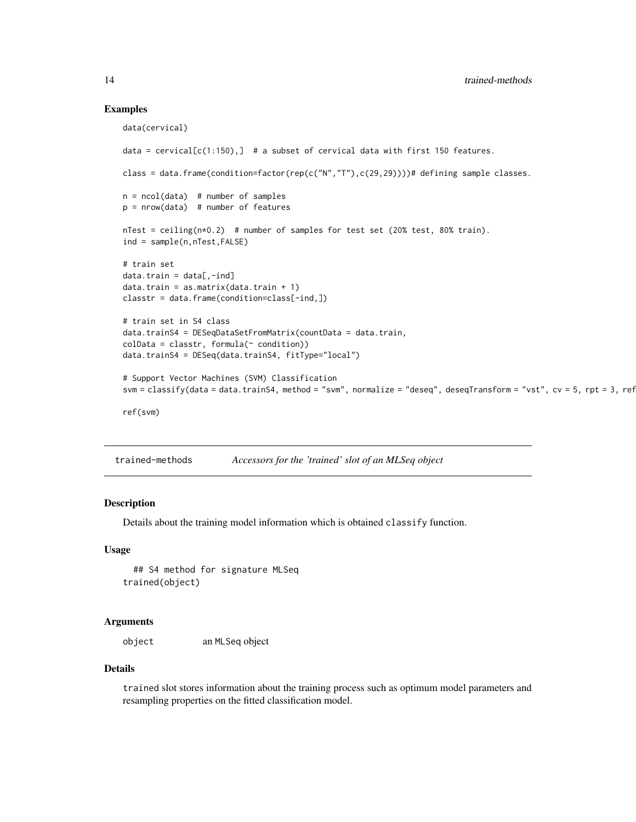#### Examples

```
data(cervical)
data = cervical[c(1:150),] # a subset of cervical data with first 150 features.
class = data.frame(condition=factor(rep(c("N","T"),c(29,29))))# defining sample classes.
n = ncol(data) # number of samples
p = nrow(data) # number of features
nTest = ceiling(n*0.2) # number of samples for test set (20% test, 80% train).
ind = sample(n,nTest,FALSE)
# train set
data.train = data[,-ind]
data.train = as.matrix(data.train + 1)
classtr = data.frame(condition=class[-ind,])
# train set in S4 class
data.trainS4 = DESeqDataSetFromMatrix(countData = data.train,
colData = classtr, formula(~ condition))
data.trainS4 = DESeq(data.trainS4, fitType="local")
# Support Vector Machines (SVM) Classification
svm = classify(data = data.trainS4, method = "svm", normalize = "deseq", deseqTransform = "vst", cv = 5, rpt = 3, ref
ref(svm)
```
trained-methods *Accessors for the 'trained' slot of an MLSeq object*

#### Description

Details about the training model information which is obtained classify function.

#### Usage

## S4 method for signature MLSeq trained(object)

#### Arguments

object an MLSeq object

#### Details

trained slot stores information about the training process such as optimum model parameters and resampling properties on the fitted classification model.

<span id="page-13-0"></span>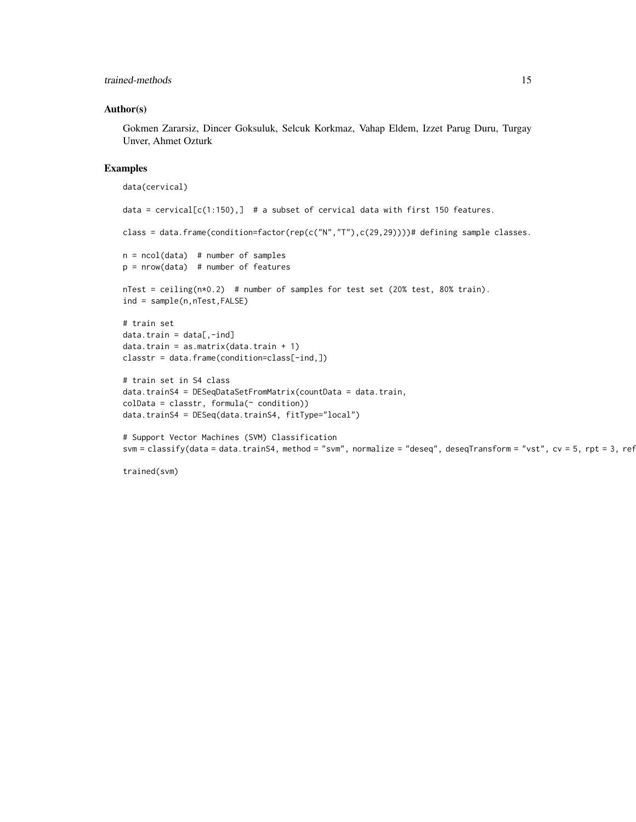#### trained-methods 15

#### Author(s)

Gokmen Zararsiz, Dincer Goksuluk, Selcuk Korkmaz, Vahap Eldem, Izzet Parug Duru, Turgay Unver, Ahmet Ozturk

#### Examples

```
data(cervical)
data = cervical[c(1:150),] # a subset of cervical data with first 150 features.
class = data.frame(condition=factor(rep(c("N","T"),c(29,29))))# defining sample classes.
n = ncol(data) # number of samples
p = nrow(data) # number of features
nTest = ceiling(n*0.2) # number of samples for test set (20% test, 80% train).
ind = sample(n,nTest,FALSE)
# train set
data.train = data[, -ind]data.train = as.matrix(data.train + 1)
classtr = data.frame(condition=class[-ind,])
# train set in S4 class
data.trainS4 = DESeqDataSetFromMatrix(countData = data.train,
collData = classtr, formula( condition))data.trainS4 = DESeq(data.trainS4, fitType="local")
# Support Vector Machines (SVM) Classification
svm = classify(data = data.trainS4, method = "svm", normalize = "deseq", deseqTransform = "vst", cv = 5, rpt = 3, ref
```

```
trained(svm)
```